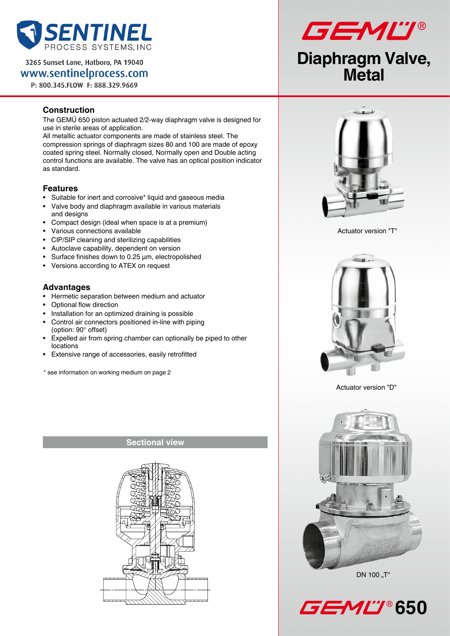

3265 Sunset Lane, Hatboro, PA 19040 www.sentinelprocess.com

P: 800.345.FLOW F: 888.329.9669

## **Construction**

The GEMÜ 650 piston actuated 2/2-way diaphragm valve is designed for use in sterile areas of application.

All metallic actuator components are made of stainless steel. The compression springs of diaphragm sizes 80 and 100 are made of epoxy coated spring steel. Normally closed, Normally open and Double acting control functions are available. The valve has an optical position indicator as standard.

#### **Features**

- Suitable for inert and corrosive\* liquid and gaseous media
- Valve body and diaphragm available in various materials
- and designs
- Compact design (ideal when space is at a premium)
- • Various connections available
- • CIP/SIP cleaning and sterilizing capabilities
- • Autoclave capability, dependent on version
- • Surface finishes down to 0.25 µm, electropolished
- • Versions according to ATEX on request

#### **Advantages**

- • Hermetic separation between medium and actuator
- **Optional flow direction**
- Installation for an optimized draining is possible
- Control air connectors positioned in-line with piping (option: 90° offset)
- Expelled air from spring chamber can optionally be piped to other locations
- • Extensive range of accessories, easily retrofitted
- \* see information on working medium on page 2

**Sectional view**







Actuator version "T"



Actuator version "D"



DN 100 .T"

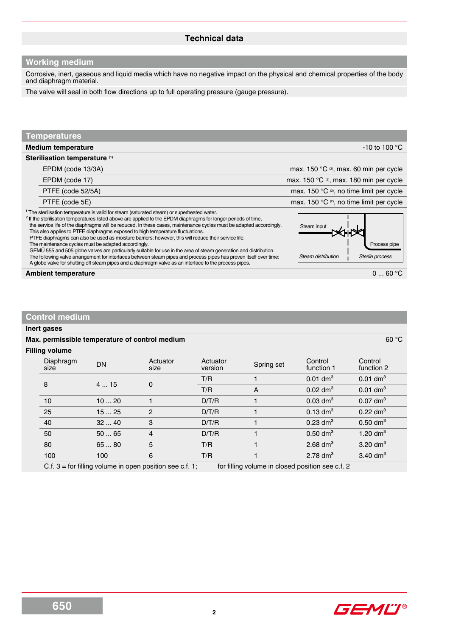## **Technical data**

## **Working medium**

Corrosive, inert, gaseous and liquid media which have no negative impact on the physical and chemical properties of the body and diaphragm material.

The valve will seal in both flow directions up to full operating pressure (gauge pressure).

| <b>Temperatures</b>                                                                                                                                                                                                                                                                                                                                                                                                                                                                                                                                                                                                                                                                                                                                                                                                                                                                                                                                             |                                                                      |
|-----------------------------------------------------------------------------------------------------------------------------------------------------------------------------------------------------------------------------------------------------------------------------------------------------------------------------------------------------------------------------------------------------------------------------------------------------------------------------------------------------------------------------------------------------------------------------------------------------------------------------------------------------------------------------------------------------------------------------------------------------------------------------------------------------------------------------------------------------------------------------------------------------------------------------------------------------------------|----------------------------------------------------------------------|
| <b>Medium temperature</b>                                                                                                                                                                                                                                                                                                                                                                                                                                                                                                                                                                                                                                                                                                                                                                                                                                                                                                                                       | -10 to 100 $^{\circ}$ C                                              |
| Sterilisation temperature (1)                                                                                                                                                                                                                                                                                                                                                                                                                                                                                                                                                                                                                                                                                                                                                                                                                                                                                                                                   |                                                                      |
| EPDM (code 13/3A)                                                                                                                                                                                                                                                                                                                                                                                                                                                                                                                                                                                                                                                                                                                                                                                                                                                                                                                                               | max. 150 °C <sup>(2)</sup> , max. 60 min per cycle                   |
| EPDM (code 17)                                                                                                                                                                                                                                                                                                                                                                                                                                                                                                                                                                                                                                                                                                                                                                                                                                                                                                                                                  | max. 150 °C <sup>(2)</sup> , max. 180 min per cycle                  |
| PTFE (code 52/5A)                                                                                                                                                                                                                                                                                                                                                                                                                                                                                                                                                                                                                                                                                                                                                                                                                                                                                                                                               | max. 150 °C <sup>(2)</sup> , no time limit per cycle                 |
| PTFE (code 5E)                                                                                                                                                                                                                                                                                                                                                                                                                                                                                                                                                                                                                                                                                                                                                                                                                                                                                                                                                  | max. 150 °C <sup>(2)</sup> , no time limit per cycle                 |
| <sup>1</sup> The sterilisation temperature is valid for steam (saturated steam) or superheated water.<br><sup>2</sup> If the sterilisation temperatures listed above are applied to the EPDM diaphragms for longer periods of time,<br>the service life of the diaphragms will be reduced. In these cases, maintenance cycles must be adapted accordingly.<br>This also applies to PTFE diaphragms exposed to high temperature fluctuations.<br>PTFE diaphragms can also be used as moisture barriers; however, this will reduce their service life.<br>The maintenance cycles must be adapted accordingly.<br>GEMU 555 and 505 globe valves are particularly suitable for use in the area of steam generation and distribution.<br>The following valve arrangement for interfaces between steam pipes and process pipes has proven itself over time:<br>A globe valve for shutting off steam pipes and a diaphragm valve as an interface to the process pipes. | Steam input<br>Process pipe<br>Steam distribution<br>Sterile process |
| <b>Ambient temperature</b>                                                                                                                                                                                                                                                                                                                                                                                                                                                                                                                                                                                                                                                                                                                                                                                                                                                                                                                                      | 060 °C                                                               |

#### **Control medium**

#### **Inert gases**

| Max. permissible temperature of control medium |           |                                                            |                     |                                                  |                        |                        |
|------------------------------------------------|-----------|------------------------------------------------------------|---------------------|--------------------------------------------------|------------------------|------------------------|
| <b>Filling volume</b>                          |           |                                                            |                     |                                                  |                        |                        |
| Diaphragm<br>size                              | <b>DN</b> | Actuator<br>size                                           | Actuator<br>version | Spring set                                       | Control<br>function 1  | Control<br>function 2  |
| 415                                            |           | T/R                                                        |                     | $0.01$ dm <sup>3</sup>                           | $0.01$ dm <sup>3</sup> |                        |
| 8                                              |           | $\mathbf 0$                                                | T/R                 | A                                                | $0.02 \text{ dm}^3$    | $0.01$ dm <sup>3</sup> |
| 10                                             | 1020      | 1                                                          | D/T/R               |                                                  | $0.03$ dm <sup>3</sup> | $0.07 \text{ dm}^3$    |
| 25                                             | 1525      | 2                                                          | D/T/R               |                                                  | $0.13$ dm <sup>3</sup> | $0.22 \text{ dm}^3$    |
| 40                                             | 3240      | 3                                                          | D/T/R               |                                                  | $0.23$ dm <sup>3</sup> | $0.50$ dm <sup>3</sup> |
| 50                                             | 5065      | $\overline{4}$                                             | D/T/R               |                                                  | $0.50$ dm <sup>3</sup> | 1.20 $\rm{dm^{3}}$     |
| 80                                             | 6580      | 5                                                          | T/R                 |                                                  | 2.68 $dm3$             | $3.20$ dm <sup>3</sup> |
| 100                                            | 100       | 6                                                          | T/R                 |                                                  | $2.78$ dm <sup>3</sup> | $3.40$ dm <sup>3</sup> |
|                                                |           | C.f. $3 =$ for filling volume in open position see c.f. 1; |                     | for filling volume in closed position see c.f. 2 |                        |                        |

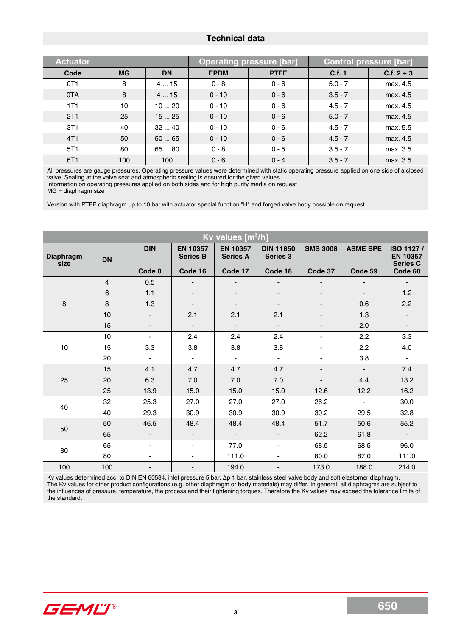#### **Technical data**

| <b>Actuator</b> |           |           |             | <b>Operating pressure [bar]</b> |           | <b>Control pressure [bar]</b> |
|-----------------|-----------|-----------|-------------|---------------------------------|-----------|-------------------------------|
| Code            | <b>MG</b> | <b>DN</b> | <b>EPDM</b> | <b>PTFE</b>                     | C.f. 1    | $C.f. 2 + 3$                  |
| 0T1             | 8         | 415       | $0 - 8$     | $0 - 6$                         | $5.0 - 7$ | max. 4.5                      |
| 0TA             | 8         | 415       | $0 - 10$    | $0 - 6$                         | $3.5 - 7$ | max. 4.5                      |
| 1T1             | 10        | 1020      | $0 - 10$    | $0 - 6$                         | $4.5 - 7$ | max. 4.5                      |
| 2T1             | 25        | 1525      | $0 - 10$    | $0 - 6$                         | $5.0 - 7$ | max. 4.5                      |
| 3T1             | 40        | 3240      | $0 - 10$    | $0 - 6$                         | $4.5 - 7$ | max. 5.5                      |
| 4T1             | 50        | 5065      | $0 - 10$    | $0 - 6$                         | $4.5 - 7$ | max. 4.5                      |
| 5T <sub>1</sub> | 80        | 6580      | $0 - 8$     | $0 - 5$                         | $3.5 - 7$ | max. 3.5                      |
| 6T1             | 100       | 100       | $0 - 6$     | $0 - 4$                         | $3.5 - 7$ | max. 3.5                      |

All pressures are gauge pressures. Operating pressure values were determined with static operating pressure applied on one side of a closed valve. Sealing at the valve seat and atmospheric sealing is ensured for the given values.

Information on operating pressures applied on both sides and for high purity media on request

 $MG =$  diaphragm size

Version with PTFE diaphragm up to 10 bar with actuator special function "H" and forged valve body possible on request

| Kv values $\overline{[m^3/h]}$ |                |                          |                                    |                                    |                              |                          |                          |                                          |
|--------------------------------|----------------|--------------------------|------------------------------------|------------------------------------|------------------------------|--------------------------|--------------------------|------------------------------------------|
| <b>Diaphragm</b><br>size       | <b>DN</b>      | <b>DIN</b>               | <b>EN 10357</b><br><b>Series B</b> | <b>EN 10357</b><br><b>Series A</b> | <b>DIN 11850</b><br>Series 3 | <b>SMS 3008</b>          | <b>ASME BPE</b>          | ISO 1127/<br>EN 10357<br><b>Series C</b> |
|                                |                | Code 0                   | Code 16                            | Code 17                            | Code 18                      | Code 37                  | Code 59                  | Code 60                                  |
|                                | $\overline{4}$ | 0.5                      | $\overline{\phantom{a}}$           |                                    |                              |                          |                          | $\overline{\phantom{a}}$                 |
|                                | $\,6$          | 1.1                      | $\overline{\phantom{a}}$           | $\blacksquare$                     | $\blacksquare$               | $\blacksquare$           | $\overline{\phantom{a}}$ | 1.2                                      |
| 8                              | 8              | 1.3                      | $\overline{\phantom{a}}$           | $\overline{\phantom{a}}$           | $\overline{\phantom{a}}$     |                          | 0.6                      | 2.2                                      |
|                                | 10             |                          | 2.1                                | 2.1                                | 2.1                          |                          | 1.3                      |                                          |
|                                | 15             | $\overline{\phantom{a}}$ | $\blacksquare$                     | $\overline{\phantom{a}}$           | $\overline{\phantom{a}}$     | -                        | 2.0                      | $\overline{\phantom{a}}$                 |
|                                | 10             | $\blacksquare$           | 2.4                                | 2.4                                | 2.4                          |                          | 2.2                      | 3.3                                      |
| 10                             | 15             | 3.3                      | 3.8                                | 3.8                                | 3.8                          |                          | 2.2                      | 4.0                                      |
|                                | 20             | $\blacksquare$           | $\blacksquare$                     | $\overline{\phantom{a}}$           | $\blacksquare$               | ٠                        | 3.8                      | $\overline{\phantom{a}}$                 |
|                                | 15             | 4.1                      | 4.7                                | 4.7                                | 4.7                          | $\overline{\phantom{0}}$ | $\overline{\phantom{a}}$ | 7.4                                      |
| 25                             | 20             | 6.3                      | 7.0                                | 7.0                                | 7.0                          |                          | 4.4                      | 13.2                                     |
|                                | 25             | 13.9                     | 15.0                               | 15.0                               | 15.0                         | 12.6                     | 12.2                     | 16.2                                     |
|                                | 32             | 25.3                     | 27.0                               | 27.0                               | 27.0                         | 26.2                     | ÷,                       | 30.0                                     |
| 40                             | 40             | 29.3                     | 30.9                               | 30.9                               | 30.9                         | 30.2                     | 29.5                     | 32.8                                     |
|                                | 50             | 46.5                     | 48.4                               | 48.4                               | 48.4                         | 51.7                     | 50.6                     | 55.2                                     |
| 50                             | 65             | $\overline{\phantom{a}}$ | $\overline{\phantom{a}}$           | $\overline{\phantom{a}}$           | $\overline{\phantom{a}}$     | 62.2                     | 61.8                     | $\overline{\phantom{a}}$                 |
|                                | 65             | ٠                        | $\blacksquare$                     | 77.0                               | $\blacksquare$               | 68.5                     | 68.5                     | 96.0                                     |
| 80                             | 80             |                          |                                    | 111.0                              |                              | 80.0                     | 87.0                     | 111.0                                    |
| 100                            | 100            |                          | $\overline{a}$                     | 194.0                              | $\overline{\phantom{a}}$     | 173.0                    | 188.0                    | 214.0                                    |

Kv values determined acc. to DIN EN 60534, inlet pressure 5 bar, ∆p 1 bar, stainless steel valve body and soft elastomer diaphragm. The Kv values for other product configurations (e.g. other diaphragm or body materials) may differ. In general, all diaphragms are subject to the influences of pressure, temperature, the process and their tightening torques. Therefore the Kv values may exceed the tolerance limits of the standard.

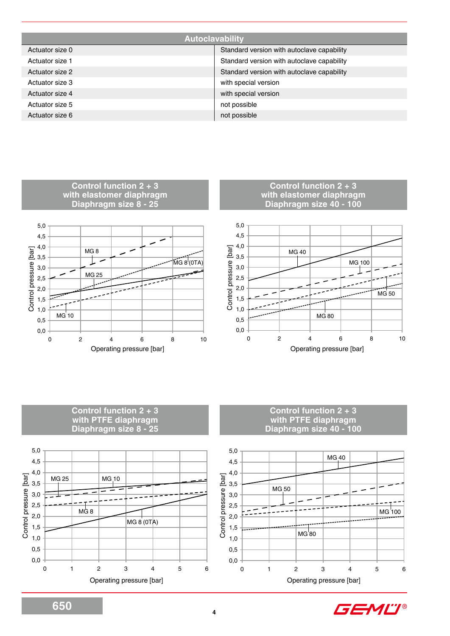| <b>Autoclavability</b> |                                            |  |  |
|------------------------|--------------------------------------------|--|--|
| Actuator size 0        | Standard version with autoclave capability |  |  |
| Actuator size 1        | Standard version with autoclave capability |  |  |
| Actuator size 2        | Standard version with autoclave capability |  |  |
| Actuator size 3        | with special version                       |  |  |
| Actuator size 4        | with special version                       |  |  |
| Actuator size 5        | not possible                               |  |  |
| Actuator size 6        | not possible                               |  |  |



Operating pressure [bar]



GEML'I®

 $MG<sub>50</sub>$ 

Operating pressure [bar]

**650**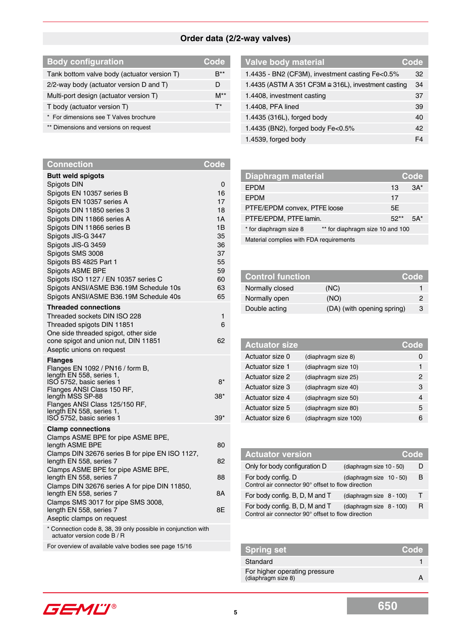# **Order data (2/2-way valves)**

| <b>Body configuration</b>                   | <b>Code</b>    |
|---------------------------------------------|----------------|
| Tank bottom valve body (actuator version T) | $B^{\ast\ast}$ |
| $2/2$ -way body (actuator version D and T)  | D              |
| Multi-port design (actuator version T)      | $M^{**}$       |
| T body (actuator version T)                 | $T^*$          |
| * For dimensions see T Valves brochure      |                |
| ** Dimensions and versions on request       |                |

| <b>Connection</b>                                                                                                                                                                                                                                      | Code                                        |
|--------------------------------------------------------------------------------------------------------------------------------------------------------------------------------------------------------------------------------------------------------|---------------------------------------------|
| <b>Butt weld spigots</b><br>Spigots DIN<br>Spigots EN 10357 series B<br>Spigots EN 10357 series A<br>Spigots DIN 11850 series 3<br>Spigots DIN 11866 series A<br>Spigots DIN 11866 series B<br>Spigots JIS-G 3447<br>Spigots JIS-G 3459                | 0<br>16<br>17<br>18<br>1А<br>1B<br>35<br>36 |
| Spigots SMS 3008<br>Spigots BS 4825 Part 1<br>Spigots ASME BPE<br>Spigots ISO 1127 / EN 10357 series C<br>Spigots ANSI/ASME B36.19M Schedule 10s<br>Spigots ANSI/ASME B36.19M Schedule 40s                                                             | 37<br>55<br>59<br>60<br>63<br>65            |
| <b>Threaded connections</b><br>Threaded sockets DIN ISO 228<br>Threaded spigots DIN 11851<br>One side threaded spigot, other side<br>cone spigot and union nut, DIN 11851<br>Aseptic unions on request                                                 | 1<br>6<br>62                                |
| <b>Flanges</b><br>Flanges EN 1092 / PN16 / form B,<br>length EN 558, series 1,<br>ISO 5752, basic series 1<br>Flanges ANSI Class 150 RF,<br>length MSS SP-88<br>Flanges ANSI Class 125/150 RF,<br>length EN 558, series 1,<br>ISO 5752, basic series 1 | 8*<br>38*<br>39*                            |
| <b>Clamp connections</b><br>Clamps ASME BPE for pipe ASME BPE,<br>length ASME BPE                                                                                                                                                                      | 80                                          |
| Clamps DIN 32676 series B for pipe EN ISO 1127,<br>length EN 558, series 7<br>Clamps ASME BPE for pipe ASME BPE,<br>length EN 558, series 7                                                                                                            | 82<br>88                                    |
| Clamps DIN 32676 series A for pipe DIN 11850,<br>length EN 558, series 7<br>Clamps SMS 3017 for pipe SMS 3008,                                                                                                                                         | 8Α                                          |
| length EN 558, series 7<br>Aseptic clamps on request                                                                                                                                                                                                   | 8Ε                                          |
| * Connection code 8, 38, 39 only possible in conjunction with<br>actuator version code B / R<br>For overview of available valve bodies see page 15/16                                                                                                  |                                             |

| <b>Valve body material</b>                          | Code |
|-----------------------------------------------------|------|
| 1.4435 - BN2 (CF3M), investment casting Fe<0.5%     | 32   |
| 1.4435 (ASTM A 351 CF3M ≅ 316L), investment casting | 34   |
| 1.4408, investment casting                          | 37   |
| 1.4408, PFA lined                                   | 39   |
| 1.4435 (316L), forged body                          | 40   |
| 1.4435 (BN2), forged body Fe<0.5%                   | 42   |
| 1.4539, forged body                                 | F4   |

| <b>Diaphragm material</b>                                  |        | Code   |
|------------------------------------------------------------|--------|--------|
| <b>EPDM</b>                                                | 13     | $3A^*$ |
| <b>EPDM</b>                                                | 17     |        |
| PTFE/EPDM convex, PTFE loose                               | 5E     |        |
| PTFE/EPDM, PTFE lamin.                                     | $52**$ | $5A*$  |
| ** for diaphragm size 10 and 100<br>* for diaphragm size 8 |        |        |
| Material complies with FDA requirements                    |        |        |

| <b>Control function</b> |                            | Code |
|-------------------------|----------------------------|------|
| Normally closed         | (NC)                       |      |
| Normally open           | (NO)                       |      |
| Double acting           | (DA) (with opening spring) | 3    |

| <b>Actuator size</b> |                      | Code     |
|----------------------|----------------------|----------|
| Actuator size 0      | (diaphragm size 8)   | $\Omega$ |
| Actuator size 1      | (diaphragm size 10)  | 1        |
| Actuator size 2      | (diaphragm size 25)  | 2        |
| Actuator size 3      | (diaphragm size 40)  | 3        |
| Actuator size 4      | (diaphragm size 50)  | 4        |
| Actuator size 5      | (diaphragm size 80)  | 5        |
| Actuator size 6      | (diaphragm size 100) | 6        |

| <b>Actuator version</b>                                                              |                          | Code |   |
|--------------------------------------------------------------------------------------|--------------------------|------|---|
| Only for body configuration D                                                        | (diaphragm size 10 - 50) |      | D |
| For body config. D<br>Control air connector 90° offset to flow direction             | (diaphragm size 10 - 50) |      | в |
| For body config. B, D, M and T                                                       | (diaphragm size 8 - 100) |      | Т |
| For body config. B, D, M and T<br>Control air connector 90° offset to flow direction | (diaphragm size 8 - 100) |      | R |

| <b>Spring set</b>                                   | Code |
|-----------------------------------------------------|------|
| Standard                                            |      |
| For higher operating pressure<br>(diaphragm size 8) |      |

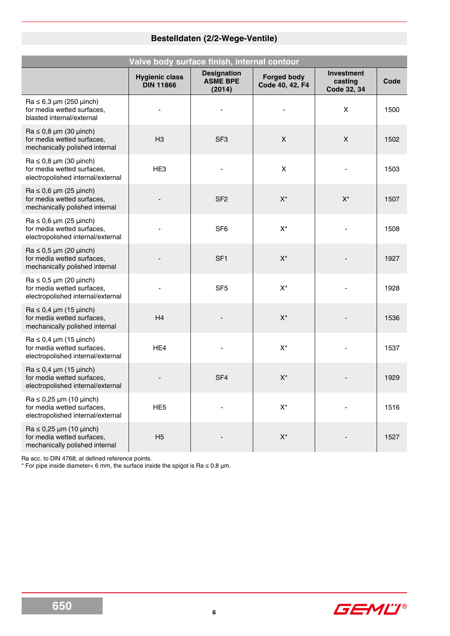# **Bestelldaten (2/2-Wege-Ventile)**

|                                                                                                        |                                           | Valve body surface finish, internal contour     |                                       |                                             |      |
|--------------------------------------------------------------------------------------------------------|-------------------------------------------|-------------------------------------------------|---------------------------------------|---------------------------------------------|------|
|                                                                                                        | <b>Hygienic class</b><br><b>DIN 11866</b> | <b>Designation</b><br><b>ASME BPE</b><br>(2014) | <b>Forged body</b><br>Code 40, 42, F4 | <b>Investment</b><br>casting<br>Code 32, 34 | Code |
| $Ra \le 6.3 \mu m$ (250 $\mu$ inch)<br>for media wetted surfaces,<br>blasted internal/external         |                                           |                                                 |                                       | X                                           | 1500 |
| $Ra \le 0.8 \mu m$ (30 $\mu$ inch)<br>for media wetted surfaces,<br>mechanically polished internal     | H3                                        | SF <sub>3</sub>                                 | $\pmb{\times}$                        | X                                           | 1502 |
| $Ra \le 0.8 \mu m$ (30 $\mu$ inch)<br>for media wetted surfaces,<br>electropolished internal/external  | HE <sub>3</sub>                           |                                                 | $\boldsymbol{\mathsf{X}}$             |                                             | 1503 |
| $Ra \leq 0.6 \mu m$ (25 $\mu$ inch)<br>for media wetted surfaces,<br>mechanically polished internal    |                                           | SF <sub>2</sub>                                 | $X^*$                                 | $X^*$                                       | 1507 |
| $Ra \le 0.6 \mu m (25 \mu inch)$<br>for media wetted surfaces,<br>electropolished internal/external    |                                           | SF <sub>6</sub>                                 | $X^*$                                 |                                             | 1508 |
| $Ra \leq 0.5 \mu m$ (20 $\mu$ inch)<br>for media wetted surfaces.<br>mechanically polished internal    |                                           | SF <sub>1</sub>                                 | $X^*$                                 |                                             | 1927 |
| $Ra \le 0.5 \mu m$ (20 $\mu$ inch)<br>for media wetted surfaces,<br>electropolished internal/external  |                                           | SF <sub>5</sub>                                 | $X^*$                                 |                                             | 1928 |
| $Ra \leq 0.4 \mu m (15 \mu inch)$<br>for media wetted surfaces,<br>mechanically polished internal      | H4                                        |                                                 | $X^*$                                 |                                             | 1536 |
| $Ra \le 0.4 \mu m$ (15 $\mu$ inch)<br>for media wetted surfaces,<br>electropolished internal/external  | HE <sub>4</sub>                           |                                                 | $X^*$                                 |                                             | 1537 |
| $Ra \leq 0.4 \mu m (15 \mu inch)$<br>for media wetted surfaces,<br>electropolished internal/external   |                                           | SF <sub>4</sub>                                 | $X^*$                                 |                                             | 1929 |
| $Ra \le 0.25 \mu m$ (10 $\mu$ inch)<br>for media wetted surfaces,<br>electropolished internal/external | HE <sub>5</sub>                           |                                                 | $X^*$                                 |                                             | 1516 |
| $Ra \le 0.25 \mu m$ (10 $\mu$ inch)<br>for media wetted surfaces,<br>mechanically polished internal    | H <sub>5</sub>                            |                                                 | $\mathsf{X}^\star$                    |                                             | 1527 |

Ra acc. to DIN 4768; at defined reference points.

\* For pipe inside diameter< 6 mm, the surface inside the spigot is Ra ≤ 0.8 µm.

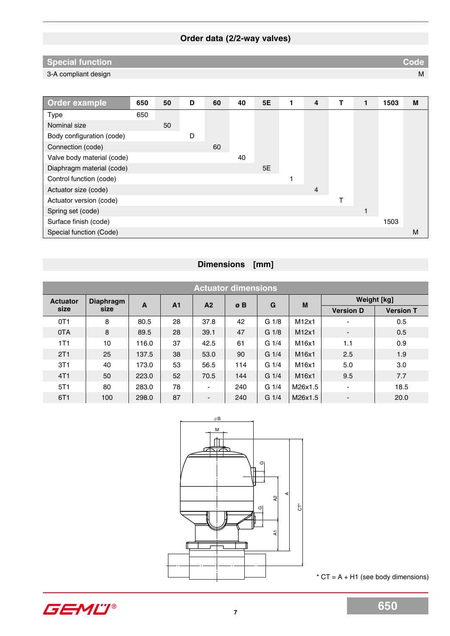## **Order data (2/2-way valves)**

## **Special function Code**

3-A compliant design Material Compliant design Material Compliant Compliant Compliant Compliant Compliant Compliant Compliant Compliant Compliant Compliant Compliant Compliant Compliant Compliant Compliant Compliant Compli



## **Dimensions [mm]**

|                 | <b>Actuator dimensions</b> |       |                |                |            |         |         |                          |                  |  |  |  |  |  |  |
|-----------------|----------------------------|-------|----------------|----------------|------------|---------|---------|--------------------------|------------------|--|--|--|--|--|--|
| <b>Actuator</b> | <b>Diaphragm</b>           | A     | A <sub>1</sub> | A <sub>2</sub> | $\sigma$ B | G       | M       |                          | Weight [kg]      |  |  |  |  |  |  |
| size            | size                       |       |                |                |            |         |         | <b>Version D</b>         | <b>Version T</b> |  |  |  |  |  |  |
| 0T <sub>1</sub> | 8                          | 80.5  | 28             | 37.8           | 42         | $G_1/8$ | M12x1   | $\overline{\phantom{0}}$ | 0.5              |  |  |  |  |  |  |
| 0TA             | 8                          | 89.5  | 28             | 39.1           | 47         | $G_1/8$ | M12x1   | ٠                        | 0.5              |  |  |  |  |  |  |
| 1T1             | 10                         | 116.0 | 37             | 42.5           | 61         | $G_1/4$ | M16x1   | 1.1                      | 0.9              |  |  |  |  |  |  |
| 2T1             | 25                         | 137.5 | 38             | 53.0           | 90         | $G_1/4$ | M16x1   | 2.5                      | 1.9              |  |  |  |  |  |  |
| 3T1             | 40                         | 173.0 | 53             | 56.5           | 114        | $G_1/4$ | M16x1   | 5.0                      | 3.0              |  |  |  |  |  |  |
| 4T1             | 50                         | 223.0 | 52             | 70.5           | 144        | $G_1/4$ | M16x1   | 9.5                      | 7.7              |  |  |  |  |  |  |
| 5T1             | 80                         | 283.0 | 78             | ٠              | 240        | $G_1/4$ | M26x1.5 | ۰                        | 18.5             |  |  |  |  |  |  |
| 6T1             | 100                        | 298.0 | 87             | $\blacksquare$ | 240        | $G_1/4$ | M26x1.5 | -                        | 20.0             |  |  |  |  |  |  |



 $*$  CT = A + H1 (see body dimensions)

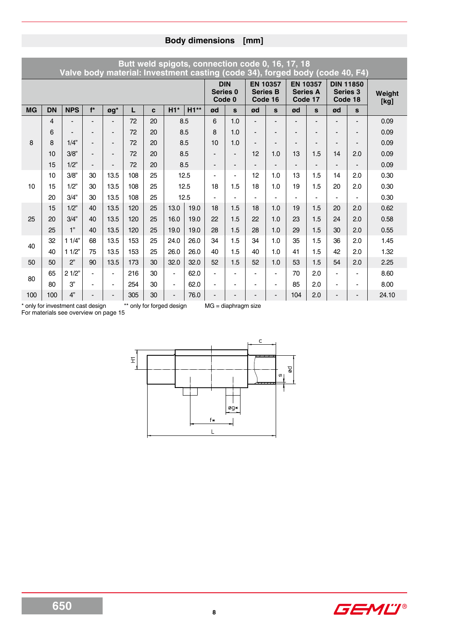|           |           | Valve body material: Investment casting (code 34), forged body (code 40, F4) |                              |                          | Butt weld spigots, connection code 0, 16, 17, 18 |    |                |      |                          |                                             |                                               |                          |                |                                               |                            |                  |                |
|-----------|-----------|------------------------------------------------------------------------------|------------------------------|--------------------------|--------------------------------------------------|----|----------------|------|--------------------------|---------------------------------------------|-----------------------------------------------|--------------------------|----------------|-----------------------------------------------|----------------------------|------------------|----------------|
|           |           |                                                                              |                              |                          |                                                  |    |                |      |                          | <b>DIN</b><br>Series <sub>0</sub><br>Code 0 | <b>EN 10357</b><br><b>Series B</b><br>Code 16 |                          |                | <b>EN 10357</b><br><b>Series A</b><br>Code 17 | <b>Series 3</b><br>Code 18 | <b>DIN 11850</b> | Weight<br>[kg] |
| <b>MG</b> | <b>DN</b> | <b>NPS</b>                                                                   | $f^*$                        | øg*                      |                                                  | C  | $H1*$          | H1** | ød                       | $\mathbf{s}$                                | ød                                            | $\mathbf{s}$             | ød             | $\mathbf{s}$                                  | ød                         | $\mathbf{s}$     |                |
|           | 4         |                                                                              |                              | $\overline{\phantom{a}}$ | 72                                               | 20 |                | 8.5  | 6                        | 1.0                                         | $\blacksquare$                                |                          |                |                                               |                            |                  | 0.09           |
|           | 6         | $\blacksquare$                                                               | $\overline{\phantom{0}}$     | $\blacksquare$           | 72                                               | 20 |                | 8.5  | 8                        | 1.0                                         | $\blacksquare$                                | $\blacksquare$           |                |                                               |                            |                  | 0.09           |
| 8         | 8         | 1/4"                                                                         | $\overline{\phantom{a}}$     | $\overline{\phantom{a}}$ | 72                                               | 20 |                | 8.5  | 10                       | 1.0                                         | $\overline{\phantom{a}}$                      | $\blacksquare$           |                | ٠                                             |                            |                  | 0.09           |
|           | 10        | 3/8"                                                                         | $\overline{\phantom{a}}$     | $\blacksquare$           | 72                                               | 20 | 8.5            |      |                          | $\overline{\phantom{0}}$                    | 12                                            | 1.0                      | 13             | 1.5                                           | 14                         | 2.0              | 0.09           |
|           | 15        | 1/2"                                                                         | $\overline{\phantom{a}}$     | $\blacksquare$           | 72                                               | 20 | 8.5            |      | $\blacksquare$           | $\overline{\phantom{a}}$                    | $\overline{a}$                                | $\blacksquare$           | $\blacksquare$ |                                               |                            |                  | 0.09           |
|           | 10        | 3/8"                                                                         | 30                           | 13.5                     | 108                                              | 25 | 12.5           |      | $\blacksquare$           | $\blacksquare$                              | 12                                            | 1.0                      | 13             | 1.5                                           | 14                         | 2.0              | 0.30           |
| 10        | 15        | 1/2"                                                                         | 30                           | 13.5                     | 108                                              | 25 | 12.5           |      | 18                       | 1.5                                         | 18                                            | 1.0                      | 19             | 1.5                                           | 20                         | 2.0              | 0.30           |
|           | 20        | 3/4"                                                                         | 30                           | 13.5                     | 108                                              | 25 |                | 12.5 |                          |                                             | $\blacksquare$                                | $\blacksquare$           |                |                                               |                            |                  | 0.30           |
|           | 15        | 1/2"                                                                         | 40                           | 13.5                     | 120                                              | 25 | 13.0           | 19.0 | 18                       | 1.5                                         | 18                                            | 1.0                      | 19             | 1.5                                           | 20                         | 2.0              | 0.62           |
| 25        | 20        | 3/4"                                                                         | 40                           | 13.5                     | 120                                              | 25 | 16.0           | 19.0 | 22                       | 1.5                                         | 22                                            | 1.0                      | 23             | 1.5                                           | 24                         | 2.0              | 0.58           |
|           | 25        | 1"                                                                           | 40                           | 13.5                     | 120                                              | 25 | 19.0           | 19.0 | 28                       | 1.5                                         | 28                                            | 1.0                      | 29             | 1.5                                           | 30                         | 2.0              | 0.55           |
| 40        | 32        | 11/4"                                                                        | 68                           | 13.5                     | 153                                              | 25 | 24.0           | 26.0 | 34                       | 1.5                                         | 34                                            | 1.0                      | 35             | 1.5                                           | 36                         | 2.0              | 1.45           |
|           | 40        | 11/2"                                                                        | 75                           | 13.5                     | 153                                              | 25 | 26.0           | 26.0 | 40                       | 1.5                                         | 40                                            | 1.0                      | 41             | 1.5                                           | 42                         | 2.0              | 1.32           |
| 50        | 50        | 2"                                                                           | 90                           | 13.5                     | 173                                              | 30 | 32.0           | 32.0 | 52                       | 1.5                                         | 52                                            | 1.0                      | 53             | 1.5                                           | 54                         | 2.0              | 2.25           |
| 80        | 65        | 21/2"                                                                        | $\blacksquare$               | $\overline{\phantom{0}}$ | 216                                              | 30 | $\blacksquare$ | 62.0 | $\overline{\phantom{a}}$ | ٠                                           | $\blacksquare$                                | ٠                        | 70             | 2.0                                           |                            |                  | 8.60           |
|           | 80        | 3"                                                                           | $\blacksquare$               | $\overline{\phantom{0}}$ | 254                                              | 30 | ٠              | 62.0 | ÷                        |                                             | $\blacksquare$                                | $\blacksquare$           | 85             | 2.0                                           |                            |                  | 8.00           |
| 100       | 100       | 4"                                                                           | $\qquad \qquad \blacksquare$ | $\overline{\phantom{a}}$ | 305                                              | 30 | $\blacksquare$ | 76.0 | ٠                        | $\overline{\phantom{0}}$                    | $\qquad \qquad \blacksquare$                  | $\overline{\phantom{a}}$ | 104            | 2.0                                           | $\blacksquare$             |                  | 24.10          |

\* only for investment cast design \*\* only for forged design MG = diaphragm size For materials see overview on page 15



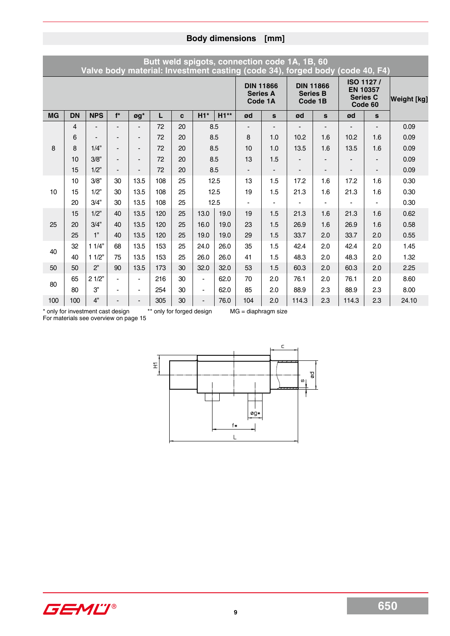|           |                  |            |                          |      |     |              |                |      |                | Butt weld spigots, connection code 1A, 1B, 60  |       |                                                | Valve body material: Investment casting (code 34), forged body (code 40, F4) |                                                            |                    |
|-----------|------------------|------------|--------------------------|------|-----|--------------|----------------|------|----------------|------------------------------------------------|-------|------------------------------------------------|------------------------------------------------------------------------------|------------------------------------------------------------|--------------------|
|           |                  |            |                          |      |     |              |                |      |                | <b>DIN 11866</b><br><b>Series A</b><br>Code 1A |       | <b>DIN 11866</b><br><b>Series B</b><br>Code 1B |                                                                              | ISO 1127/<br><b>EN 10357</b><br><b>Series C</b><br>Code 60 | <b>Weight</b> [kg] |
| <b>MG</b> | <b>DN</b>        | <b>NPS</b> | $f^{\star}$              | øg*  | L   | $\mathbf{c}$ | $H1*$          | H1** | ød             | $\mathbf{s}$                                   | ød    | $\mathbf{s}$                                   | ød                                                                           | $\mathbf{s}$                                               |                    |
|           | 4                |            |                          |      | 72  | 20           |                | 8.5  |                |                                                |       |                                                |                                                                              |                                                            | 0.09               |
|           | 6                |            |                          |      | 72  | 20           |                | 8.5  |                | 1.0                                            | 10.2  | 1.6                                            | 10.2                                                                         | 1.6                                                        | 0.09               |
| 8         | 8                | 1/4"       |                          |      | 72  | 20           | 8.5            |      | 10             | 1.0                                            | 13.5  | 1.6                                            | 13.5                                                                         | 1.6                                                        | 0.09               |
|           | 10               | 3/8"       |                          |      | 72  | 20           | 8.5            |      | 13             | 1.5                                            |       |                                                |                                                                              |                                                            | 0.09               |
|           | 15               | 1/2"       | $\overline{\phantom{a}}$ | ۰.   | 72  | 20           | 8.5            |      | $\blacksquare$ | $\overline{\phantom{a}}$                       |       | ٠                                              | $\overline{\phantom{a}}$                                                     | $\blacksquare$                                             | 0.09               |
|           | 10 <sup>10</sup> | 3/8"       | 30                       | 13.5 | 108 | 25           |                | 12.5 |                | 1.5                                            | 17.2  | 1.6                                            | 17.2                                                                         | 1.6                                                        | 0.30               |
| 10        | 15               | 1/2"       | 30                       | 13.5 | 108 | 25           | 12.5           |      | 19             | 1.5                                            | 21.3  | 1.6                                            | 21.3                                                                         | 1.6                                                        | 0.30               |
|           | 20               | 3/4"       | 30                       | 13.5 | 108 | 25           |                | 12.5 |                |                                                |       |                                                |                                                                              |                                                            | 0.30               |
|           | 15               | 1/2"       | 40                       | 13.5 | 120 | 25           | 13.0           | 19.0 | 19             | 1.5                                            | 21.3  | 1.6                                            | 21.3                                                                         | 1.6                                                        | 0.62               |
| 25        | 20               | 3/4"       | 40                       | 13.5 | 120 | 25           | 16.0           | 19.0 | 23             | 1.5                                            | 26.9  | 1.6                                            | 26.9                                                                         | 1.6                                                        | 0.58               |
|           | 25               | 1"         | 40                       | 13.5 | 120 | 25           | 19.0           | 19.0 | 29             | 1.5                                            | 33.7  | 2.0                                            | 33.7                                                                         | 2.0                                                        | 0.55               |
| 40        | 32               | 11/4"      | 68                       | 13.5 | 153 | 25           | 24.0           | 26.0 | 35             | 1.5                                            | 42.4  | 2.0                                            | 42.4                                                                         | 2.0                                                        | 1.45               |
|           | 40               | 11/2"      | 75                       | 13.5 | 153 | 25           | 26.0           | 26.0 | 41             | 1.5                                            | 48.3  | 2.0                                            | 48.3                                                                         | 2.0                                                        | 1.32               |
| 50        | 50               | 2"         | 90                       | 13.5 | 173 | 30           | 32.0           | 32.0 | 53             | 1.5                                            | 60.3  | 2.0                                            | 60.3                                                                         | 2.0                                                        | 2.25               |
| 80        | 65               | 21/2"      |                          |      | 216 | 30           | $\blacksquare$ | 62.0 | 70             | 2.0                                            | 76.1  | 2.0                                            | 76.1                                                                         | 2.0                                                        | 8.60               |
|           | 80               | 3"         |                          |      | 254 | 30           | $\blacksquare$ | 62.0 | 85             | 2.0                                            | 88.9  | 2.3                                            | 88.9                                                                         | 2.3                                                        | 8.00               |
| 100       | 100              | 4"         |                          |      | 305 | 30           | ٠              | 76.0 | 104            | 2.0                                            | 114.3 | 2.3                                            | 114.3                                                                        | 2.3                                                        | 24.10              |

\* only for investment cast design \*\* only for forged design MG = diaphragm size

For materials see overview on page 15



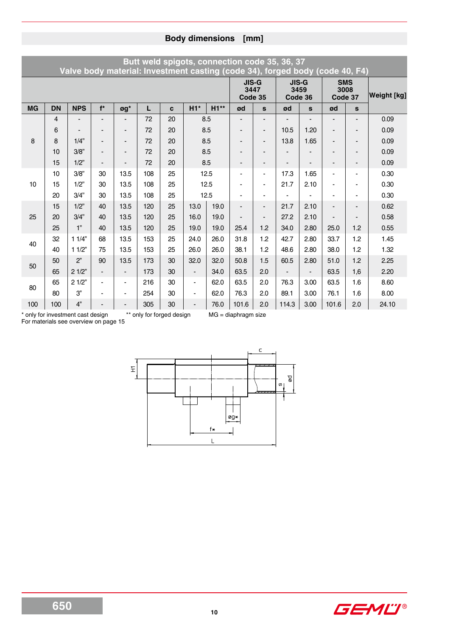|           |                | Valve body material: Investment casting (code 34), forged body (code 40, F4) |                          |                          |     |              |                          |        | Butt weld spigots, connection code 35, 36, 37 |                |                              |                                 |                          |                       |                    |
|-----------|----------------|------------------------------------------------------------------------------|--------------------------|--------------------------|-----|--------------|--------------------------|--------|-----------------------------------------------|----------------|------------------------------|---------------------------------|--------------------------|-----------------------|--------------------|
|           |                |                                                                              |                          |                          |     |              |                          |        | <b>JIS-G</b><br>3447<br>Code 35               |                |                              | <b>JIS-G</b><br>3459<br>Code 36 | 3008                     | <b>SMS</b><br>Code 37 | <b>Weight [kg]</b> |
| <b>MG</b> | <b>DN</b>      | <b>NPS</b>                                                                   | $f^*$                    | øg*                      | L   | $\mathbf{c}$ | $H1*$                    | $H1**$ | ød                                            | S              | ød                           | S                               | ød                       | $\mathbf{s}$          |                    |
|           | $\overline{4}$ |                                                                              |                          |                          | 72  | 20           |                          | 8.5    |                                               |                |                              |                                 |                          |                       | 0.09               |
|           | 6              |                                                                              |                          |                          | 72  | 20           |                          | 8.5    |                                               |                | 10.5                         | 1.20                            | $\overline{\phantom{a}}$ |                       | 0.09               |
| 8         | 8              | 1/4"                                                                         | -                        |                          | 72  | 20           | 8.5                      |        |                                               |                | 13.8                         | 1.65                            |                          |                       | 0.09               |
|           | 10             | 3/8"                                                                         | $\overline{\phantom{0}}$ | -                        | 72  | 20           | 8.5                      |        |                                               |                |                              |                                 |                          |                       | 0.09               |
|           | 15             | 1/2"                                                                         | $\overline{\phantom{a}}$ | $\overline{\phantom{a}}$ | 72  | 20           | 8.5                      |        | $\overline{\phantom{a}}$                      |                | $\qquad \qquad \blacksquare$ |                                 | $\overline{\phantom{a}}$ |                       | 0.09               |
|           | 10             | 3/8"                                                                         | 30                       | 13.5                     | 108 | 25           |                          | 12.5   | $\blacksquare$                                | $\blacksquare$ | 17.3                         | 1.65                            | $\overline{\phantom{a}}$ |                       | 0.30               |
| 10        | 15             | 1/2"                                                                         | 30                       | 13.5                     | 108 | 25           | 12.5                     |        |                                               |                | 21.7                         | 2.10                            | $\blacksquare$           |                       | 0.30               |
|           | 20             | 3/4"                                                                         | 30                       | 13.5                     | 108 | 25           | 12.5                     |        |                                               |                |                              |                                 |                          |                       | 0.30               |
|           | 15             | 1/2"                                                                         | 40                       | 13.5                     | 120 | 25           | 13.0                     | 19.0   |                                               |                | 21.7                         | 2.10                            |                          |                       | 0.62               |
| 25        | 20             | 3/4"                                                                         | 40                       | 13.5                     | 120 | 25           | 16.0                     | 19.0   |                                               | $\blacksquare$ | 27.2                         | 2.10                            |                          |                       | 0.58               |
|           | 25             | 1"                                                                           | 40                       | 13.5                     | 120 | 25           | 19.0                     | 19.0   | 25.4                                          | 1.2            | 34.0                         | 2.80                            | 25.0                     | 1.2                   | 0.55               |
| 40        | 32             | 11/4"                                                                        | 68                       | 13.5                     | 153 | 25           | 24.0                     | 26.0   | 31.8                                          | 1.2            | 42.7                         | 2.80                            | 33.7                     | 1.2                   | 1.45               |
|           | 40             | 11/2"                                                                        | 75                       | 13.5                     | 153 | 25           | 26.0                     | 26.0   | 38.1                                          | 1.2            | 48.6                         | 2.80                            | 38.0                     | 1.2                   | 1.32               |
| 50        | 50             | 2"                                                                           | 90                       | 13.5                     | 173 | 30           | 32.0                     | 32.0   | 50.8                                          | 1.5            | 60.5                         | 2.80                            | 51.0                     | 1.2                   | 2.25               |
|           | 65             | 21/2"                                                                        | $\overline{\phantom{0}}$ |                          | 173 | 30           | $\overline{\phantom{a}}$ | 34.0   | 63.5                                          | 2.0            |                              |                                 | 63.5                     | 1,6                   | 2.20               |
| 80        | 65             | 21/2"                                                                        | -                        | $\blacksquare$           | 216 | 30           | $\blacksquare$           | 62.0   | 63.5                                          | 2.0            | 76.3                         | 3.00                            | 63.5                     | 1.6                   | 8.60               |
|           | 80             | 3"                                                                           |                          | $\overline{\phantom{a}}$ | 254 | 30           | $\blacksquare$           | 62.0   | 76.3                                          | 2.0            | 89.1                         | 3.00                            | 76.1                     | 1.6                   | 8.00               |
| 100       | 100            | 4"                                                                           | -                        |                          | 305 | 30           | $\overline{\phantom{0}}$ | 76.0   | 101.6                                         | 2.0            | 114.3                        | 3.00                            | 101.6                    | 2.0                   | 24.10              |

\* only for investment cast design \*\* only for forged design MG = diaphragm size

For materials see overview on page 15



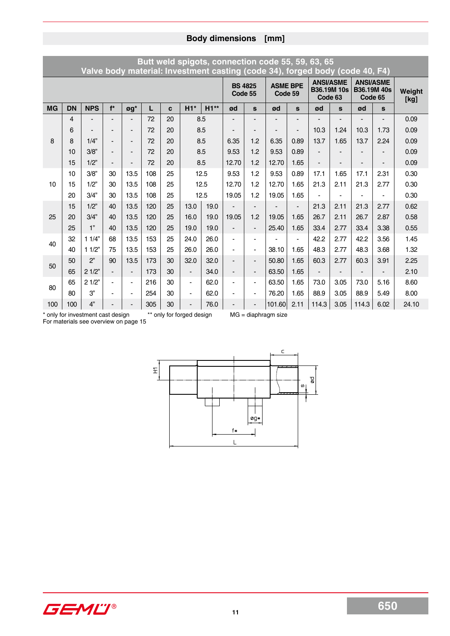|           |           |                |                |                          |     |    |                |        |                           |                          | Butt weld spigots, connection code 55, 59, 63, 65<br>Valve body material: Investment casting (code 34), forged body (code 40, F4) |      |                             |                              |                                                   |      |                |
|-----------|-----------|----------------|----------------|--------------------------|-----|----|----------------|--------|---------------------------|--------------------------|-----------------------------------------------------------------------------------------------------------------------------------|------|-----------------------------|------------------------------|---------------------------------------------------|------|----------------|
|           |           |                |                |                          |     |    |                |        | <b>BS 4825</b><br>Code 55 |                          | <b>ASME BPE</b><br>Code 59                                                                                                        |      | <b>ANSI/ASME</b><br>Code 63 | <b>B36.19M 10s</b>           | <b>ANSI/ASME</b><br><b>B36.19M 40s</b><br>Code 65 |      | Weight<br>[kg] |
| <b>MG</b> | <b>DN</b> | <b>NPS</b>     | $f^*$          | øg*                      | L   | C  | $H1*$          | $H1**$ | ød                        | S                        | ød                                                                                                                                | S    | ød                          | S                            | ød                                                | S    |                |
|           | 4         |                |                |                          | 72  | 20 |                | 8.5    |                           |                          |                                                                                                                                   |      |                             |                              |                                                   |      | 0.09           |
|           | 6         |                |                | $\overline{\phantom{a}}$ | 72  | 20 |                | 8.5    |                           |                          |                                                                                                                                   |      | 10.3                        | 1.24                         | 10.3                                              | 1.73 | 0.09           |
| 8         | 8         | 1/4"           | $\blacksquare$ | $\overline{\phantom{a}}$ | 72  | 20 |                | 8.5    | 6.35                      | 1.2                      | 6.35                                                                                                                              | 0.89 | 13.7                        | 1.65                         | 13.7                                              | 2.24 | 0.09           |
|           | 10        | 3/8"           |                | $\overline{\phantom{0}}$ | 72  | 20 |                | 8.5    | 9.53                      | 1.2                      | 9.53                                                                                                                              | 0.89 |                             |                              |                                                   |      | 0.09           |
|           | 15        | 1/2"           |                |                          | 72  | 20 | 8.5            |        | 12.70                     | 1.2                      | 12.70                                                                                                                             | 1.65 |                             |                              |                                                   |      | 0.09           |
|           | 10        | 3/8"           | 30             | 13.5                     | 108 | 25 | 12.5           |        | 9.53                      | 1.2                      | 9.53                                                                                                                              | 0.89 | 17.1                        | 1.65                         | 17.1                                              | 2.31 | 0.30           |
| 10        | 15        | 1/2"           | 30             | 13.5                     | 108 | 25 | 12.5           |        | 12.70                     | 1.2                      | 12.70                                                                                                                             | 1.65 | 21.3                        | 2.11                         | 21.3                                              | 2.77 | 0.30           |
|           | 20        | 3/4"           | 30             | 13.5                     | 108 | 25 | 12.5           |        | 19.05                     | 1.2                      | 19.05                                                                                                                             | 1.65 |                             |                              |                                                   |      | 0.30           |
|           | 15        | 1/2"           | 40             | 13.5                     | 120 | 25 | 13.0           | 19.0   |                           |                          |                                                                                                                                   |      | 21.3                        | 2.11                         | 21.3                                              | 2.77 | 0.62           |
| 25        | 20        | 3/4"           | 40             | 13.5                     | 120 | 25 | 16.0           | 19.0   | 19.05                     | 1.2                      | 19.05                                                                                                                             | 1.65 | 26.7                        | 2.11                         | 26.7                                              | 2.87 | 0.58           |
|           | 25        | 1 <sup>n</sup> | 40             | 13.5                     | 120 | 25 | 19.0           | 19.0   |                           | $\overline{\phantom{a}}$ | 25.40                                                                                                                             | 1.65 | 33.4                        | 2.77                         | 33.4                                              | 3.38 | 0.55           |
| 40        | 32        | 11/4"          | 68             | 13.5                     | 153 | 25 | 24.0           | 26.0   |                           |                          |                                                                                                                                   |      | 42.2                        | 2.77                         | 42.2                                              | 3.56 | 1.45           |
|           | 40        | 11/2"          | 75             | 13.5                     | 153 | 25 | 26.0           | 26.0   |                           | $\blacksquare$           | 38.10                                                                                                                             | 1.65 | 48.3                        | 2.77                         | 48.3                                              | 3.68 | 1.32           |
| 50        | 50        | 2"             | 90             | 13.5                     | 173 | 30 | 32.0           | 32.0   | -                         | $\overline{\phantom{a}}$ | 50.80                                                                                                                             | 1.65 | 60.3                        | 2.77                         | 60.3                                              | 3.91 | 2.25           |
|           | 65        | 21/2"          |                | $\overline{\phantom{0}}$ | 173 | 30 |                | 34.0   | $\blacksquare$            | $\overline{\phantom{a}}$ | 63.50                                                                                                                             | 1.65 |                             | $\qquad \qquad \blacksquare$ |                                                   |      | 2.10           |
| 80        | 65        | 21/2"          |                | $\blacksquare$           | 216 | 30 | $\blacksquare$ | 62.0   | $\blacksquare$            | $\blacksquare$           | 63.50                                                                                                                             | 1.65 | 73.0                        | 3.05                         | 73.0                                              | 5.16 | 8.60           |
|           | 80        | 3"             |                | ٠                        | 254 | 30 | ٠              | 62.0   |                           | $\blacksquare$           | 76.20                                                                                                                             | 1.65 | 88.9                        | 3.05                         | 88.9                                              | 5.49 | 8.00           |
| 100       | 100       | 4"             |                | $\overline{\phantom{a}}$ | 305 | 30 |                | 76.0   |                           | $\overline{\phantom{a}}$ | 101.60                                                                                                                            | 2.11 | 114.3                       | 3.05                         | 114.3                                             | 6.02 | 24.10          |

\* only for investment cast design \*\* only for forged design MG = diaphragm size

For materials see overview on page 15



GEMU®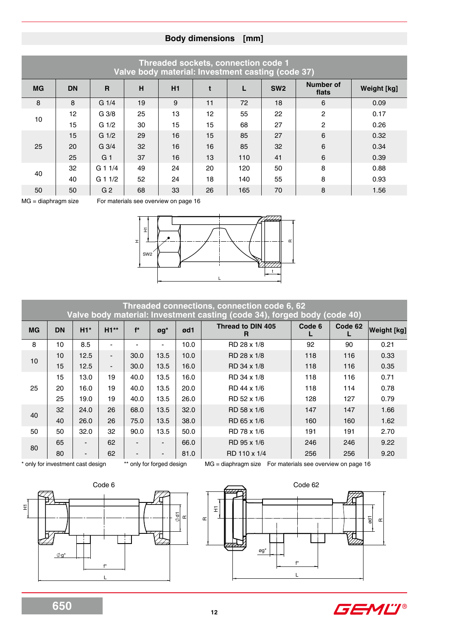|           |           |                  |    |    |    | Threaded sockets, connection code 1<br>Valve body material: Investment casting (code 37) |                 |                    |                    |
|-----------|-----------|------------------|----|----|----|------------------------------------------------------------------------------------------|-----------------|--------------------|--------------------|
| <b>MG</b> | <b>DN</b> | R                | H  | H1 |    |                                                                                          | SW <sub>2</sub> | Number of<br>flats | <b>Weight [kg]</b> |
| 8         | 8         | $G_1/4$          | 19 | 9  | 11 | 72                                                                                       | 18              | 6                  | 0.09               |
| 10        | 12        | G <sub>3/8</sub> | 25 | 13 | 12 | 55                                                                                       | 22              | $\overline{2}$     | 0.17               |
|           | 15        | $G \frac{1}{2}$  | 30 | 15 | 15 | 68                                                                                       | 27              | 2                  | 0.26               |
|           | 15        | $G_1/2$          | 29 | 16 | 15 | 85                                                                                       | 27              | 6                  | 0.32               |
| 25        | 20        | $G_3/4$          | 32 | 16 | 16 | 85                                                                                       | 32              | 6                  | 0.34               |
|           | 25        | G <sub>1</sub>   | 37 | 16 | 13 | 110                                                                                      | 41              | 6                  | 0.39               |
| 40        | 32        | $G$ 1 1/4        | 49 | 24 | 20 | 120                                                                                      | 50              | 8                  | 0.88               |
|           | 40        | $G$ 1 1/2        | 52 | 24 | 18 | 140                                                                                      | 55              | 8                  | 0.93               |
| 50        | 50        | G <sub>2</sub>   | 68 | 33 | 26 | 165                                                                                      | 70              | 8                  | 1.56               |

MG = diaphragm size For materials see overview on page 16



|           |           |                          |                          |                          |                              |      | Threaded connections, connection code 6, 62<br>Valve body material: Investment casting (code 34), forged body (code 40) |        |         |                    |
|-----------|-----------|--------------------------|--------------------------|--------------------------|------------------------------|------|-------------------------------------------------------------------------------------------------------------------------|--------|---------|--------------------|
| <b>MG</b> | <b>DN</b> | $H1*$                    | $H1**$                   | $f^*$                    | $\mathfrak{g}\mathfrak{g}^*$ | ød1  | <b>Thread to DIN 405</b><br>R                                                                                           | Code 6 | Code 62 | <b>Weight [kg]</b> |
| 8         | 10        | 8.5                      | $\blacksquare$           | ۰                        | ٠                            | 10.0 | RD 28 x 1/8                                                                                                             | 92     | 90      | 0.21               |
| 10        | 10        | 12.5                     | $\overline{\phantom{a}}$ | 30.0                     | 13.5                         | 10.0 | RD 28 x 1/8                                                                                                             | 118    | 116     | 0.33               |
|           | 15        | 12.5                     | $\blacksquare$           | 30.0                     | 13.5                         | 16.0 | RD 34 x 1/8                                                                                                             | 118    | 116     | 0.35               |
|           | 15        | 13.0                     | 19                       | 40.0                     | 13.5                         | 16.0 | RD 34 x 1/8                                                                                                             | 118    | 116     | 0.71               |
| 25        | 20        | 16.0                     | 19                       | 40.0                     | 13.5                         | 20.0 | RD 44 x 1/6                                                                                                             | 118    | 114     | 0.78               |
|           | 25        | 19.0                     | 19                       | 40.0                     | 13.5                         | 26.0 | RD 52 x 1/6                                                                                                             | 128    | 127     | 0.79               |
| 40        | 32        | 24.0                     | 26                       | 68.0                     | 13.5                         | 32.0 | RD 58 x 1/6                                                                                                             | 147    | 147     | 1.66               |
|           | 40        | 26.0                     | 26                       | 75.0                     | 13.5                         | 38.0 | RD 65 x 1/6                                                                                                             | 160    | 160     | 1.62               |
| 50        | 50        | 32.0                     | 32                       | 90.0                     | 13.5                         | 50.0 | RD 78 x 1/6                                                                                                             | 191    | 191     | 2.70               |
| 80        | 65        | $\blacksquare$           | 62                       | $\overline{\phantom{a}}$ | $\overline{\phantom{a}}$     | 66.0 | RD 95 x 1/6                                                                                                             | 246    | 246     | 9.22               |
|           | 80        | $\overline{\phantom{a}}$ | 62                       |                          | $\blacksquare$               | 81.0 | RD 110 x 1/4                                                                                                            | 256    | 256     | 9.20               |

\* only for investment cast design \*\* only for forged design MG = diaphragm size For materials see overview on page 16





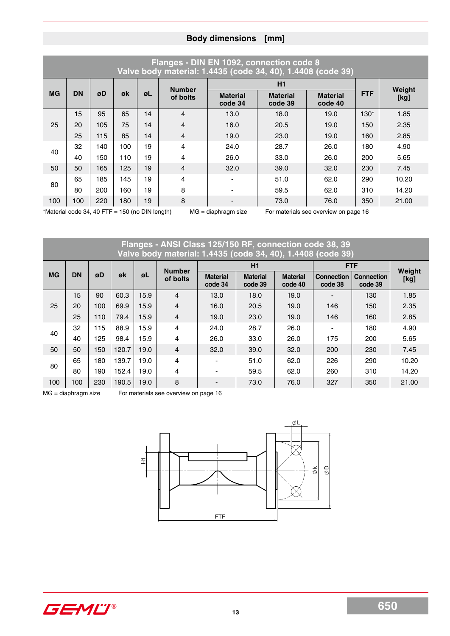|           |                                                 |     |               |      |               |                            | Flanges - DIN EN 1092, connection code 8<br>Valve body material: 1.4435 (code 34, 40), 1.4408 (code 39) |                                       |            |        |
|-----------|-------------------------------------------------|-----|---------------|------|---------------|----------------------------|---------------------------------------------------------------------------------------------------------|---------------------------------------|------------|--------|
|           |                                                 |     |               |      | <b>Number</b> |                            | H1                                                                                                      |                                       |            | Weight |
| <b>MG</b> | <b>DN</b>                                       | øD  | øk            | øL   | of bolts      | <b>Material</b><br>code 34 | <b>Material</b><br>code 39                                                                              | <b>Material</b><br>code 40            | <b>FTF</b> | [kg]   |
|           | 15                                              | 95  | 65            | 14   | 4             | 13.0                       | 18.0                                                                                                    | 19.0                                  | $130*$     | 1.85   |
| 25        | 20                                              | 105 | 14<br>75<br>4 |      | 16.0          | 20.5                       | 19.0                                                                                                    | 150                                   | 2.35       |        |
|           | 25<br>85<br>14<br>115<br>4                      |     |               | 19.0 | 23.0          | 19.0                       | 160                                                                                                     | 2.85                                  |            |        |
| 40        | 32                                              | 140 | 100           | 19   | 4             | 24.0                       | 28.7                                                                                                    | 26.0                                  | 180        | 4.90   |
|           | 40                                              | 150 | 110           | 19   | 4             | 26.0                       | 33.0                                                                                                    | 26.0                                  | 200        | 5.65   |
| 50        | 50                                              | 165 | 125           | 19   | 4             | 32.0                       | 39.0                                                                                                    | 32.0                                  | 230        | 7.45   |
| 80        | 65                                              | 185 | 145           | 19   | 4             |                            | 51.0                                                                                                    | 62.0                                  | 290        | 10.20  |
|           | 80                                              | 200 | 160           | 19   | 8             |                            | 59.5                                                                                                    | 62.0                                  | 310        | 14.20  |
| 100       | 100                                             | 220 | 180           | 19   | 8             | $\blacksquare$             | 73.0                                                                                                    | 76.0                                  | 350        | 21.00  |
|           | *Material code 34, 40 FTF = 150 (no DIN length) |     |               |      |               | $MG = diaphragm size$      |                                                                                                         | For materials see overview on page 16 |            |        |

**Flanges - ANSI Class 125/150 RF, connection code 38, 39 Valve body material: 1.4435 (code 34, 40), 1.4408 (code 39)**

|           |           |     |       |      |                           |                            | H1                         |                            |                              | <b>FTF</b>                   |                |
|-----------|-----------|-----|-------|------|---------------------------|----------------------------|----------------------------|----------------------------|------------------------------|------------------------------|----------------|
| <b>MG</b> | <b>DN</b> | øD  | øk    | øL   | <b>Number</b><br>of bolts | <b>Material</b><br>code 34 | <b>Material</b><br>code 39 | <b>Material</b><br>code 40 | <b>Connection</b><br>code 38 | <b>Connection</b><br>code 39 | Weight<br>[kg] |
|           | 15        | 90  | 60.3  | 15.9 | 4                         | 13.0                       | 18.0                       | 19.0                       |                              | 130                          | 1.85           |
| 25        | 20        | 100 | 69.9  | 15.9 | 4                         | 16.0                       | 20.5                       | 19.0                       | 146                          | 150                          | 2.35           |
|           | 25        | 110 | 79.4  | 15.9 | 4                         | 19.0                       | 23.0                       | 19.0                       | 146                          | 160                          | 2.85           |
| 40        | 32        | 115 | 88.9  | 15.9 | 4                         | 24.0                       | 28.7                       | 26.0                       |                              | 180                          | 4.90           |
|           | 40        | 125 | 98.4  | 15.9 | 4                         | 26.0                       | 33.0                       | 26.0                       | 175                          | 200                          | 5.65           |
| 50        | 50        | 150 | 120.7 | 19.0 | $\overline{4}$            | 32.0                       | 39.0                       | 32.0                       | 200                          | 230                          | 7.45           |
|           | 65        | 180 | 139.7 | 19.0 | 4                         |                            | 51.0                       | 62.0                       | 226                          | 290                          | 10.20          |
| 80        | 80        | 190 | 152.4 | 19.0 | 4                         | $\overline{\phantom{0}}$   | 59.5                       | 62.0                       | 260                          | 310                          | 14.20          |
| 100       | 100       | 230 | 190.5 | 19.0 | 8                         |                            | 73.0                       | 76.0                       | 327                          | 350                          | 21.00          |

MG = diaphragm size For materials see overview on page 16



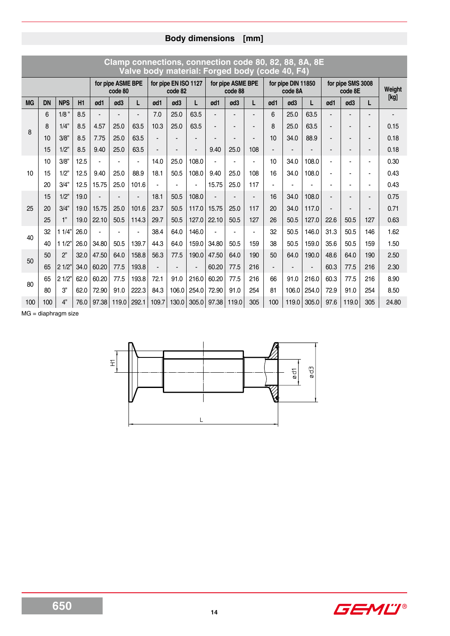|           |           |                |      |       |                              | Valve body material: Forged body (code 40, F4) |                          |                                 |       |                |                              |     |     |                               | Clamp connections, connection code 80, 82, 88, 8A, 8E |                |                              |                              |        |
|-----------|-----------|----------------|------|-------|------------------------------|------------------------------------------------|--------------------------|---------------------------------|-------|----------------|------------------------------|-----|-----|-------------------------------|-------------------------------------------------------|----------------|------------------------------|------------------------------|--------|
|           |           |                |      |       | for pipe ASME BPE<br>code 80 |                                                |                          | for pipe EN ISO 1127<br>code 82 |       |                | for pipe ASME BPE<br>code 88 |     |     | for pipe DIN 11850<br>code 8A |                                                       |                | for pipe SMS 3008<br>code 8E |                              | Weight |
| <b>MG</b> | <b>DN</b> | <b>NPS</b>     | H1   | ød1   | ød3                          | L                                              | ød1                      | ød3                             | L.    | ød1            | ød3                          | L   | ød1 | ød3                           | L                                                     | ød1            | ød3                          | L                            | [kg]   |
|           | 6         | $1/8$ "        | 8.5  |       |                              |                                                | 7.0                      | 25.0                            | 63.5  |                |                              |     | 6   | 25.0                          | 63.5                                                  |                |                              |                              |        |
| 8         | 8         | 1/4"           | 8.5  | 4.57  | 25.0                         | 63.5                                           | 10.3                     | 25.0                            | 63.5  | $\blacksquare$ |                              |     | 8   | 25.0                          | 63.5                                                  | $\blacksquare$ |                              | ٠                            | 0.15   |
|           | 10        | 3/8"           | 8.5  | 7.75  | 25.0                         | 63.5                                           | $\blacksquare$           |                                 |       |                |                              |     | 10  | 34.0                          | 88.9                                                  | $\blacksquare$ |                              | $\blacksquare$               | 0.18   |
|           | 15        | 1/2"           | 8.5  | 9.40  | 25.0                         | 63.5                                           | $\overline{\phantom{a}}$ | $\overline{\phantom{a}}$        |       | 9.40           | 25.0                         | 108 |     |                               |                                                       |                |                              | $\blacksquare$               | 0.18   |
|           | 10        | 3/8"           | 12.5 |       |                              |                                                | 14.0                     | 25.0                            | 108.0 |                |                              |     | 10  | 34.0                          | 108.0                                                 |                |                              | $\blacksquare$               | 0.30   |
| 10        | 15        | 1/2"           | 12.5 | 9.40  | 25.0                         | 88.9                                           | 18.1                     | 50.5                            | 108.0 | 9.40           | 25.0                         | 108 | 16  | 34.0                          | 108.0                                                 | $\blacksquare$ |                              | $\overline{\phantom{a}}$     | 0.43   |
|           | 20        | 3/4"           | 12.5 | 15.75 | 25.0                         | 101.6                                          |                          |                                 |       | 15.75          | 25.0                         | 117 |     |                               |                                                       |                |                              | ٠                            | 0.43   |
|           | 15        | 1/2"           | 19.0 |       |                              |                                                | 18.1                     | 50.5                            | 108.0 |                |                              |     | 16  | 34.0                          | 108.0                                                 |                |                              | $\qquad \qquad \blacksquare$ | 0.75   |
| 25        | 20        | 3/4"           | 19.0 | 15.75 | 25.0                         | 101.6                                          | 23.7                     | 50.5                            | 117.0 | 15.75          | 25.0                         | 117 | 20  | 34.0                          | 117.0                                                 |                |                              | $\overline{\phantom{0}}$     | 0.71   |
|           | 25        | 1 <sup>n</sup> | 19.0 | 22.10 | 50.5                         | 114.3                                          | 29.7                     | 50.5                            | 127.0 | 22.10          | 50.5                         | 127 | 26  | 50.5                          | 127.0                                                 | 22.6           | 50.5                         | 127                          | 0.63   |
| 40        | 32        | 11/4"          | 26.0 |       |                              |                                                | 38.4                     | 64.0                            | 146.0 |                |                              |     | 32  | 50.5                          | 146.0                                                 | 31.3           | 50.5                         | 146                          | 1.62   |
|           | 40        | 11/2"          | 26.0 | 34.80 | 50.5                         | 139.7                                          | 44.3                     | 64.0                            | 159.0 | 34.80          | 50.5                         | 159 | 38  | 50.5                          | 159.0                                                 | 35.6           | 50.5                         | 159                          | 1.50   |
| 50        | 50        | 2"             | 32.0 | 47.50 | 64.0                         | 158.8                                          | 56.3                     | 77.5                            | 190.0 | 47.50          | 64.0                         | 190 | 50  | 64.0                          | 190.0                                                 | 48.6           | 64.0                         | 190                          | 2.50   |
|           | 65        | 21/2"          | 34.0 | 60.20 | 77.5                         | 193.8                                          | $\blacksquare$           |                                 |       | 60.20          | 77.5                         | 216 |     |                               | $\blacksquare$                                        | 60.3           | 77.5                         | 216                          | 2.30   |
| 80        | 65        | 21/2"          | 62.0 | 60.20 | 77.5                         | 193.8                                          | 72.1                     | 91.0                            | 216.0 | 60.20          | 77.5                         | 216 | 66  | 91.0                          | 216.0                                                 | 60.3           | 77.5                         | 216                          | 8.90   |
|           | 80        | 3"             | 62.0 | 72.90 | 91.0                         | 222.3                                          | 84.3                     | 106.0                           | 254.0 | 72.90          | 91.0                         | 254 | 81  | 106.0                         | 254.0                                                 | 72.9           | 91.0                         | 254                          | 8.50   |
| 100       | 100       | 4"             | 76.0 | 97.38 | 119.0                        | 292.1                                          | 109.7                    | 130.0                           | 305.0 | 97.38          | 119.0                        | 305 | 100 | 119.0                         | 305.0                                                 | 97.6           | 119.0                        | 305                          | 24.80  |

MG = diaphragm size



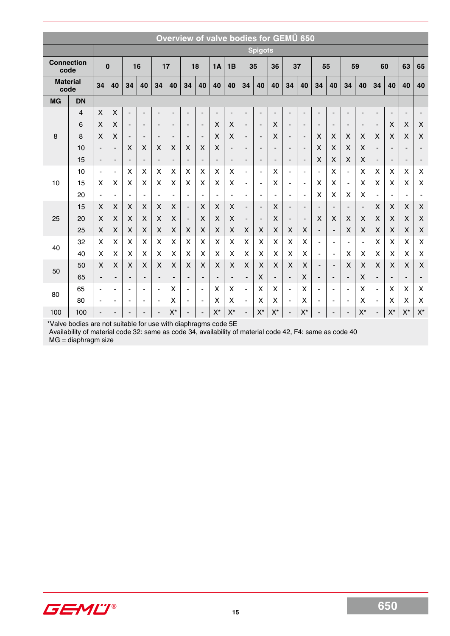| Overview of valve bodies for GEMÜ 650 |                |                              |                          |                          |                          |                              |                          |                          |                          |                          |                          |                              |                           |                          |                          |                          |                           |                           |                          |                              |                          |                          |                           |                              |
|---------------------------------------|----------------|------------------------------|--------------------------|--------------------------|--------------------------|------------------------------|--------------------------|--------------------------|--------------------------|--------------------------|--------------------------|------------------------------|---------------------------|--------------------------|--------------------------|--------------------------|---------------------------|---------------------------|--------------------------|------------------------------|--------------------------|--------------------------|---------------------------|------------------------------|
|                                       |                | <b>Spigots</b>               |                          |                          |                          |                              |                          |                          |                          |                          |                          |                              |                           |                          |                          |                          |                           |                           |                          |                              |                          |                          |                           |                              |
| <b>Connection</b><br>code             |                | $\bf{0}$                     |                          | 16                       |                          | 17                           |                          | 18                       |                          | 1A                       | 1B                       | 35                           |                           | 36                       | 37                       |                          | 55                        |                           | 59                       |                              | 60                       |                          | 63                        | 65                           |
| <b>Material</b><br>code               |                | 34                           | 40                       | 34                       | 40                       | 34                           | 40                       | 34                       | 40                       | 40                       | 40                       | 34                           | 40                        | 40                       | 34                       | 40                       | 34                        | 40                        | 34                       | 40                           | 34                       | 40                       | 40                        | 40                           |
| <b>MG</b>                             | <b>DN</b>      |                              |                          |                          |                          |                              |                          |                          |                          |                          |                          |                              |                           |                          |                          |                          |                           |                           |                          |                              |                          |                          |                           |                              |
| 8                                     | $\overline{4}$ | $\mathsf{x}$                 | X                        | $\overline{\phantom{0}}$ |                          | $\overline{\phantom{a}}$     | $\overline{a}$           |                          |                          | $\overline{\phantom{0}}$ | $\overline{\phantom{0}}$ | $\overline{\phantom{a}}$     | $\overline{\phantom{a}}$  |                          |                          |                          | $\overline{a}$            | $\overline{\phantom{a}}$  |                          | -                            |                          |                          | $\overline{\phantom{a}}$  | $\overline{\phantom{0}}$     |
|                                       | 6              | X                            | X                        | $\blacksquare$           | $\overline{\phantom{a}}$ | $\overline{\phantom{a}}$     | $\overline{\phantom{a}}$ | $\blacksquare$           |                          | X                        | X                        | $\overline{\phantom{a}}$     | $\overline{\phantom{a}}$  | X                        | $\blacksquare$           | $\overline{\phantom{a}}$ | $\overline{\phantom{0}}$  | $\blacksquare$            |                          | $\qquad \qquad \blacksquare$ |                          | X                        | X                         | X                            |
|                                       | 8              | $\mathsf{x}$                 | X                        | $\overline{\phantom{a}}$ | $\overline{\phantom{a}}$ | $\overline{\phantom{a}}$     | $\overline{\phantom{a}}$ | $\overline{\phantom{0}}$ | $\overline{\phantom{a}}$ | X                        | X                        | $\overline{\phantom{a}}$     | $\overline{\phantom{a}}$  | X                        | $\overline{\phantom{a}}$ | $\overline{\phantom{a}}$ | X                         | X                         | X                        | X                            | X                        | X                        | $\boldsymbol{\mathsf{X}}$ | $\pmb{\times}$               |
|                                       | 10             | $\blacksquare$               | $\blacksquare$           | X                        | X                        | X                            | X                        | X                        | X                        | X                        | $\overline{\phantom{a}}$ | $\overline{\phantom{0}}$     | $\blacksquare$            | $\overline{\phantom{0}}$ | $\overline{\phantom{0}}$ | $\overline{\phantom{a}}$ | X                         | X                         | X                        | X                            |                          |                          | $\overline{\phantom{a}}$  | $\overline{\phantom{a}}$     |
|                                       | 15             | $\qquad \qquad \blacksquare$ | $\overline{\phantom{a}}$ | $\overline{\phantom{a}}$ | $\overline{\phantom{a}}$ | $\qquad \qquad \blacksquare$ | $\overline{\phantom{a}}$ | $\overline{\phantom{a}}$ | $\overline{\phantom{a}}$ | $\overline{\phantom{a}}$ | $\overline{\phantom{a}}$ | $\qquad \qquad \blacksquare$ | $\overline{\phantom{a}}$  | $\blacksquare$           | $\overline{\phantom{a}}$ | $\overline{\phantom{a}}$ | $\boldsymbol{\mathsf{X}}$ | $\boldsymbol{\mathsf{X}}$ | $\mathsf{X}$             | X                            | $\overline{\phantom{a}}$ | $\overline{\phantom{a}}$ | $\overline{\phantom{a}}$  | $\qquad \qquad \blacksquare$ |
| 10                                    | 10             | $\overline{\phantom{a}}$     | $\overline{\phantom{a}}$ | X                        | X                        | X                            | X                        | X                        | X                        | X                        | X                        | $\overline{\phantom{a}}$     | $\blacksquare$            | X                        | $\blacksquare$           | $\overline{\phantom{0}}$ | $\overline{\phantom{a}}$  | X                         | $\blacksquare$           | X                            | X                        | X                        | X                         | $\pmb{\times}$               |
|                                       | 15             | X                            | X                        | X                        | X                        | X                            | X                        | X                        | X                        | X                        | X                        | $\overline{\phantom{a}}$     | $\blacksquare$            | X                        | $\overline{\phantom{a}}$ | $\overline{\phantom{a}}$ | х                         | X                         | $\blacksquare$           | X                            | X                        | X                        | X                         | X                            |
|                                       | 20             | $\blacksquare$               | $\blacksquare$           | $\blacksquare$           | $\overline{\phantom{0}}$ | $\blacksquare$               | $\blacksquare$           | $\blacksquare$           | $\overline{\phantom{a}}$ | $\overline{\phantom{a}}$ | $\blacksquare$           | $\blacksquare$               | $\blacksquare$            | $\blacksquare$           | $\blacksquare$           | $\overline{\phantom{a}}$ | X                         | X                         | X                        | X                            | $\overline{\phantom{a}}$ | ٠                        | $\overline{\phantom{a}}$  | $\qquad \qquad \blacksquare$ |
| 25                                    | 15             | X                            | X                        | X                        | X                        | X                            | X                        | $\overline{\phantom{a}}$ | Χ                        | X                        | X                        | $\overline{\phantom{a}}$     | $\overline{\phantom{a}}$  | X                        | $\overline{\phantom{a}}$ | $\overline{\phantom{a}}$ | $\overline{\phantom{0}}$  | $\overline{\phantom{a}}$  | $\overline{\phantom{0}}$ | $\qquad \qquad \blacksquare$ | X                        | X                        | X                         | X                            |
|                                       | 20             | $\boldsymbol{\mathsf{X}}$    | X                        | X                        | X                        | X                            | X                        | $\overline{\phantom{a}}$ | X                        | X                        | X                        | $\overline{\phantom{a}}$     | $\overline{\phantom{a}}$  | X                        | $\overline{\phantom{a}}$ | $\overline{\phantom{a}}$ | X                         | $\mathsf{x}$              | X                        | X                            | X                        | X                        | X                         | X                            |
|                                       | 25             | $\mathsf{x}$                 | X                        | X                        | X                        | X                            | X                        | X                        | X                        | X                        | X                        | X                            | $\boldsymbol{\mathsf{X}}$ | X                        | X                        | X                        | $\overline{\phantom{a}}$  | $\overline{\phantom{a}}$  | X                        | X                            | X                        | X                        | X                         | $\pmb{\times}$               |
| 40                                    | 32             | X                            | X                        | X                        | X                        | X                            | X                        | X                        | X                        | X                        | X                        | X                            | X                         | X                        | X                        | X                        | $\overline{\phantom{a}}$  | $\overline{\phantom{a}}$  | $\blacksquare$           | $\frac{1}{2}$                | X                        | X                        | X                         | X                            |
|                                       | 40             | $\mathsf{x}$                 | X                        | X                        | X                        | X                            | X                        | $\mathsf{x}$             | X                        | X                        | X                        | X                            | X                         | X                        | X                        | X                        | $\blacksquare$            | $\blacksquare$            | X                        | X                            | X                        | X                        | X                         | X                            |
| 50                                    | 50             | $\boldsymbol{\mathsf{X}}$    | X                        | X                        | X                        | X                            | X                        | $\mathsf{x}$             | X                        | X                        | X                        | X                            | X                         | X                        | X                        | X                        | $\overline{\phantom{a}}$  | $\overline{\phantom{a}}$  | X                        | X                            | X                        | X                        | X                         | X                            |
|                                       | 65             | $\blacksquare$               | $\blacksquare$           | $\blacksquare$           | $\blacksquare$           | $\centerdot$                 | $\overline{\phantom{a}}$ | $\blacksquare$           | $\overline{\phantom{a}}$ |                          | $\overline{\phantom{a}}$ | $\overline{\phantom{a}}$     | X                         | $\overline{\phantom{a}}$ | $\blacksquare$           | X                        | $\overline{\phantom{a}}$  | $\overline{\phantom{a}}$  | $\overline{\phantom{a}}$ | X                            | $\overline{\phantom{a}}$ | $\overline{\phantom{a}}$ | $\overline{\phantom{a}}$  | $\overline{\phantom{a}}$     |
| 80                                    | 65             | $\blacksquare$               | $\blacksquare$           | $\blacksquare$           | $\blacksquare$           | $\blacksquare$               | X                        | $\blacksquare$           | $\blacksquare$           | х                        | X                        | $\blacksquare$               | X                         | X                        | $\blacksquare$           | X                        | $\blacksquare$            | ٠                         | $\blacksquare$           | X                            | $\blacksquare$           | X                        | X                         | X                            |
|                                       | 80             | $\blacksquare$               | $\blacksquare$           | $\blacksquare$           | $\blacksquare$           | $\blacksquare$               | X                        | $\frac{1}{2}$            | $\overline{\phantom{a}}$ | X                        | X                        | $\blacksquare$               | X                         | X                        | $\overline{\phantom{a}}$ | X                        | $\blacksquare$            | $\blacksquare$            | $\blacksquare$           | X                            | $\blacksquare$           | X                        | X                         | X                            |
| 100                                   | 100            |                              |                          |                          |                          | $\overline{a}$               | $X^*$                    |                          | $\overline{\phantom{a}}$ | $\mathsf{X}^\star$       | $X^*$                    | $\overline{\phantom{a}}$     | $X^*$                     | X*                       |                          | $\mathsf{X}^\star$       | $\overline{a}$            |                           |                          | X*                           |                          | X*                       | $\mathsf{X}^\star$        | $\mathsf{X}^\star$           |

\*Valve bodies are not suitable for use with diaphragms code 5E

Availability of material code 32: same as code 34, availability of material code 42, F4: same as code 40

 $MG = diaphragm size$